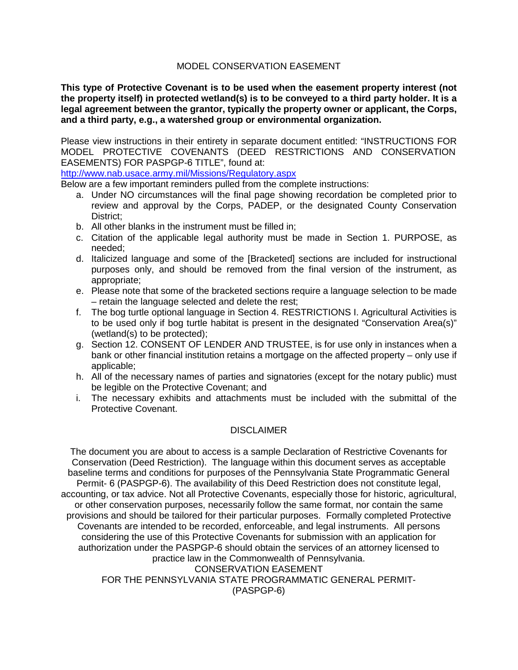### MODEL CONSERVATION EASEMENT

**This type of Protective Covenant is to be used when the easement property interest (not the property itself) in protected wetland(s) is to be conveyed to a third party holder. It is a legal agreement between the grantor, typically the property owner or applicant, the Corps, and a third party, e.g., a watershed group or environmental organization.** 

Please view instructions in their entirety in separate document entitled: "INSTRUCTIONS FOR MODEL PROTECTIVE COVENANTS (DEED RESTRICTIONS AND CONSERVATION EASEMENTS) FOR PASPGP-6 TITLE", found at:

<http://www.nab.usace.army.mil/Missions/Regulatory.aspx>

Below are a few important reminders pulled from the complete instructions:

- a. Under NO circumstances will the final page showing recordation be completed prior to review and approval by the Corps, PADEP, or the designated County Conservation District:
- b. All other blanks in the instrument must be filled in;
- c. Citation of the applicable legal authority must be made in Section 1. PURPOSE, as needed;
- d. Italicized language and some of the [Bracketed] sections are included for instructional purposes only, and should be removed from the final version of the instrument, as appropriate;
- e. Please note that some of the bracketed sections require a language selection to be made – retain the language selected and delete the rest;
- f. The bog turtle optional language in Section 4. RESTRICTIONS I. Agricultural Activities is to be used only if bog turtle habitat is present in the designated "Conservation Area(s)" (wetland(s) to be protected);
- g. Section 12. CONSENT OF LENDER AND TRUSTEE, is for use only in instances when a bank or other financial institution retains a mortgage on the affected property – only use if applicable;
- h. All of the necessary names of parties and signatories (except for the notary public) must be legible on the Protective Covenant; and
- i. The necessary exhibits and attachments must be included with the submittal of the Protective Covenant.

## DISCLAIMER

The document you are about to access is a sample Declaration of Restrictive Covenants for Conservation (Deed Restriction). The language within this document serves as acceptable baseline terms and conditions for purposes of the Pennsylvania State Programmatic General Permit- 6 (PASPGP-6). The availability of this Deed Restriction does not constitute legal, accounting, or tax advice. Not all Protective Covenants, especially those for historic, agricultural, or other conservation purposes, necessarily follow the same format, nor contain the same provisions and should be tailored for their particular purposes. Formally completed Protective Covenants are intended to be recorded, enforceable, and legal instruments. All persons considering the use of this Protective Covenants for submission with an application for authorization under the PASPGP-6 should obtain the services of an attorney licensed to practice law in the Commonwealth of Pennsylvania. CONSERVATION EASEMENT FOR THE PENNSYLVANIA STATE PROGRAMMATIC GENERAL PERMIT- (PASPGP-6)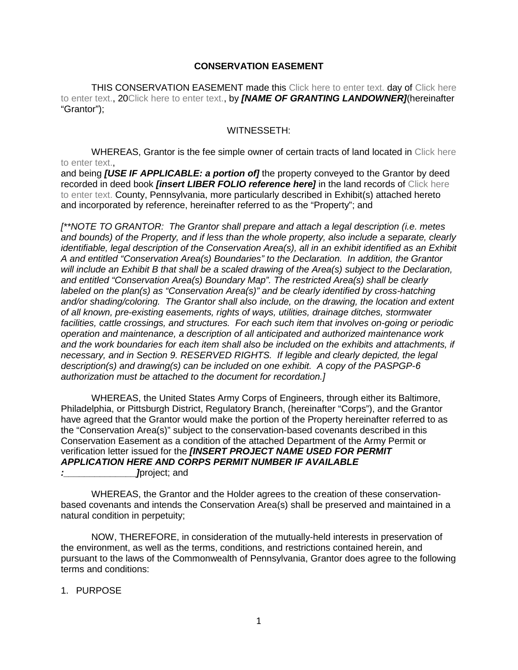### **CONSERVATION EASEMENT**

THIS CONSERVATION EASEMENT made this Click here to enter text. day of Click here to enter text., 20Click here to enter text., by *[NAME OF GRANTING LANDOWNER]*(hereinafter "Grantor");

#### WITNESSETH:

WHEREAS, Grantor is the fee simple owner of certain tracts of land located in Click here to enter text.

and being *[USE IF APPLICABLE: a portion of]* the property conveyed to the Grantor by deed recorded in deed book *[insert LIBER FOLIO reference here]* in the land records of Click here to enter text. County, Pennsylvania, more particularly described in Exhibit(s) attached hereto and incorporated by reference, hereinafter referred to as the "Property"; and

*[\*\*NOTE TO GRANTOR: The Grantor shall prepare and attach a legal description (i.e. metes and bounds) of the Property, and if less than the whole property, also include a separate, clearly identifiable, legal description of the Conservation Area(s), all in an exhibit identified as an Exhibit A and entitled "Conservation Area(s) Boundaries" to the Declaration. In addition, the Grantor will include an Exhibit B that shall be a scaled drawing of the Area(s) subject to the Declaration, and entitled "Conservation Area(s) Boundary Map". The restricted Area(s) shall be clearly labeled on the plan(s) as "Conservation Area(s)" and be clearly identified by cross-hatching and/or shading/coloring. The Grantor shall also include, on the drawing, the location and extent of all known, pre-existing easements, rights of ways, utilities, drainage ditches, stormwater facilities, cattle crossings, and structures. For each such item that involves on-going or periodic operation and maintenance, a description of all anticipated and authorized maintenance work and the work boundaries for each item shall also be included on the exhibits and attachments, if necessary, and in Section 9. RESERVED RIGHTS. If legible and clearly depicted, the legal description(s) and drawing(s) can be included on one exhibit. A copy of the PASPGP-6 authorization must be attached to the document for recordation.]*

WHEREAS, the United States Army Corps of Engineers, through either its Baltimore, Philadelphia, or Pittsburgh District, Regulatory Branch, (hereinafter "Corps"), and the Grantor have agreed that the Grantor would make the portion of the Property hereinafter referred to as the "Conservation Area(s)" subject to the conservation-based covenants described in this Conservation Easement as a condition of the attached Department of the Army Permit or verification letter issued for the *[INSERT PROJECT NAME USED FOR PERMIT APPLICATION HERE AND CORPS PERMIT NUMBER IF AVAILABLE*

*l*project; and

WHEREAS, the Grantor and the Holder agrees to the creation of these conservationbased covenants and intends the Conservation Area(s) shall be preserved and maintained in a natural condition in perpetuity;

NOW, THEREFORE, in consideration of the mutually-held interests in preservation of the environment, as well as the terms, conditions, and restrictions contained herein, and pursuant to the laws of the Commonwealth of Pennsylvania, Grantor does agree to the following terms and conditions:

1. PURPOSE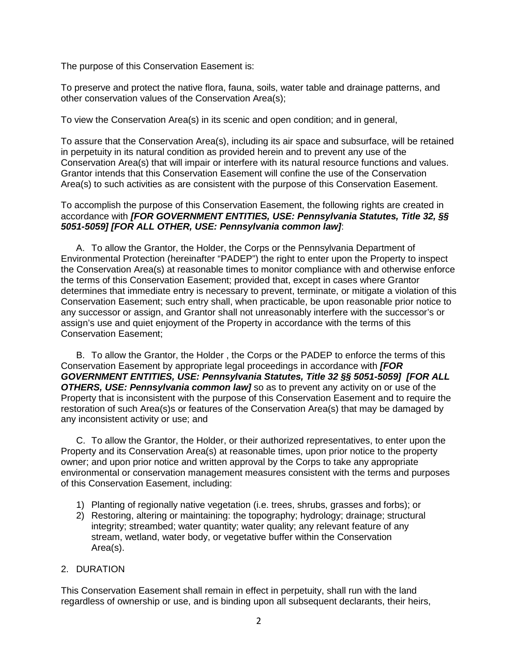The purpose of this Conservation Easement is:

To preserve and protect the native flora, fauna, soils, water table and drainage patterns, and other conservation values of the Conservation Area(s);

To view the Conservation Area(s) in its scenic and open condition; and in general,

To assure that the Conservation Area(s), including its air space and subsurface, will be retained in perpetuity in its natural condition as provided herein and to prevent any use of the Conservation Area(s) that will impair or interfere with its natural resource functions and values. Grantor intends that this Conservation Easement will confine the use of the Conservation Area(s) to such activities as are consistent with the purpose of this Conservation Easement.

#### To accomplish the purpose of this Conservation Easement, the following rights are created in accordance with *[FOR GOVERNMENT ENTITIES, USE: Pennsylvania Statutes, Title 32, §§ 5051-5059] [FOR ALL OTHER, USE: Pennsylvania common law]*:

A. To allow the Grantor, the Holder, the Corps or the Pennsylvania Department of Environmental Protection (hereinafter "PADEP") the right to enter upon the Property to inspect the Conservation Area(s) at reasonable times to monitor compliance with and otherwise enforce the terms of this Conservation Easement; provided that, except in cases where Grantor determines that immediate entry is necessary to prevent, terminate, or mitigate a violation of this Conservation Easement; such entry shall, when practicable, be upon reasonable prior notice to any successor or assign, and Grantor shall not unreasonably interfere with the successor's or assign's use and quiet enjoyment of the Property in accordance with the terms of this Conservation Easement;

B. To allow the Grantor, the Holder , the Corps or the PADEP to enforce the terms of this Conservation Easement by appropriate legal proceedings in accordance with *[FOR GOVERNMENT ENTITIES, USE: Pennsylvania Statutes, Title 32 §§ 5051-5059] [FOR ALL OTHERS, USE: Pennsylvania common law]* so as to prevent any activity on or use of the Property that is inconsistent with the purpose of this Conservation Easement and to require the restoration of such Area(s)s or features of the Conservation Area(s) that may be damaged by any inconsistent activity or use; and

C. To allow the Grantor, the Holder, or their authorized representatives, to enter upon the Property and its Conservation Area(s) at reasonable times, upon prior notice to the property owner; and upon prior notice and written approval by the Corps to take any appropriate environmental or conservation management measures consistent with the terms and purposes of this Conservation Easement, including:

- 1) Planting of regionally native vegetation (i.e. trees, shrubs, grasses and forbs); or
- 2) Restoring, altering or maintaining: the topography; hydrology; drainage; structural integrity; streambed; water quantity; water quality; any relevant feature of any stream, wetland, water body, or vegetative buffer within the Conservation Area(s).

## 2. DURATION

This Conservation Easement shall remain in effect in perpetuity, shall run with the land regardless of ownership or use, and is binding upon all subsequent declarants, their heirs,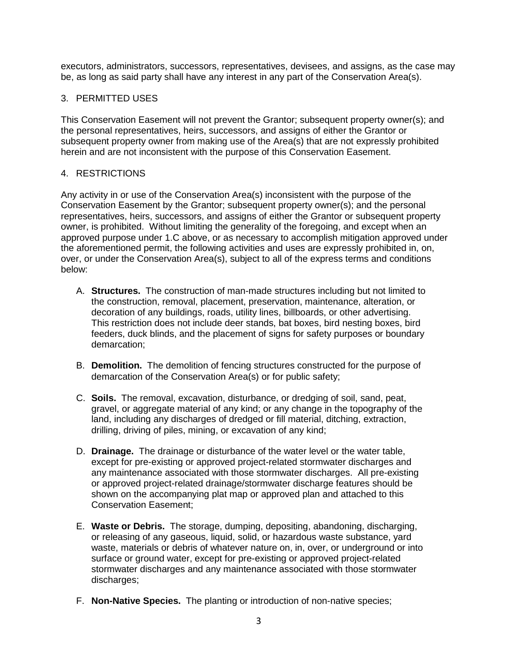executors, administrators, successors, representatives, devisees, and assigns, as the case may be, as long as said party shall have any interest in any part of the Conservation Area(s).

## 3. PERMITTED USES

This Conservation Easement will not prevent the Grantor; subsequent property owner(s); and the personal representatives, heirs, successors, and assigns of either the Grantor or subsequent property owner from making use of the Area(s) that are not expressly prohibited herein and are not inconsistent with the purpose of this Conservation Easement.

## 4. RESTRICTIONS

Any activity in or use of the Conservation Area(s) inconsistent with the purpose of the Conservation Easement by the Grantor; subsequent property owner(s); and the personal representatives, heirs, successors, and assigns of either the Grantor or subsequent property owner, is prohibited. Without limiting the generality of the foregoing, and except when an approved purpose under 1.C above, or as necessary to accomplish mitigation approved under the aforementioned permit, the following activities and uses are expressly prohibited in, on, over, or under the Conservation Area(s), subject to all of the express terms and conditions below:

- A. **Structures.** The construction of man-made structures including but not limited to the construction, removal, placement, preservation, maintenance, alteration, or decoration of any buildings, roads, utility lines, billboards, or other advertising. This restriction does not include deer stands, bat boxes, bird nesting boxes, bird feeders, duck blinds, and the placement of signs for safety purposes or boundary demarcation;
- B. **Demolition.** The demolition of fencing structures constructed for the purpose of demarcation of the Conservation Area(s) or for public safety;
- C. **Soils.** The removal, excavation, disturbance, or dredging of soil, sand, peat, gravel, or aggregate material of any kind; or any change in the topography of the land, including any discharges of dredged or fill material, ditching, extraction, drilling, driving of piles, mining, or excavation of any kind;
- D. **Drainage.** The drainage or disturbance of the water level or the water table, except for pre-existing or approved project-related stormwater discharges and any maintenance associated with those stormwater discharges. All pre-existing or approved project-related drainage/stormwater discharge features should be shown on the accompanying plat map or approved plan and attached to this Conservation Easement;
- E. **Waste or Debris.** The storage, dumping, depositing, abandoning, discharging, or releasing of any gaseous, liquid, solid, or hazardous waste substance, yard waste, materials or debris of whatever nature on, in, over, or underground or into surface or ground water, except for pre-existing or approved project-related stormwater discharges and any maintenance associated with those stormwater discharges;
- F. **Non-Native Species.** The planting or introduction of non-native species;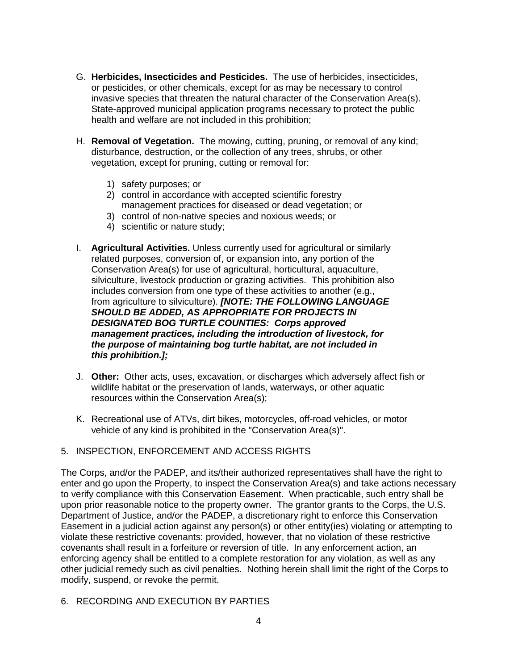- G. **Herbicides, Insecticides and Pesticides.** The use of herbicides, insecticides, or pesticides, or other chemicals, except for as may be necessary to control invasive species that threaten the natural character of the Conservation Area(s). State-approved municipal application programs necessary to protect the public health and welfare are not included in this prohibition;
- H. **Removal of Vegetation.** The mowing, cutting, pruning, or removal of any kind; disturbance, destruction, or the collection of any trees, shrubs, or other vegetation, except for pruning, cutting or removal for:
	- 1) safety purposes; or
	- 2) control in accordance with accepted scientific forestry management practices for diseased or dead vegetation; or
	- 3) control of non-native species and noxious weeds; or
	- 4) scientific or nature study;
- I. **Agricultural Activities.** Unless currently used for agricultural or similarly related purposes, conversion of, or expansion into, any portion of the Conservation Area(s) for use of agricultural, horticultural, aquaculture, silviculture, livestock production or grazing activities. This prohibition also includes conversion from one type of these activities to another (e.g., from agriculture to silviculture). *[NOTE: THE FOLLOWING LANGUAGE SHOULD BE ADDED, AS APPROPRIATE FOR PROJECTS IN DESIGNATED BOG TURTLE COUNTIES: Corps approved management practices, including the introduction of livestock, for the purpose of maintaining bog turtle habitat, are not included in this prohibition.];*
- J. **Other:** Other acts, uses, excavation, or discharges which adversely affect fish or wildlife habitat or the preservation of lands, waterways, or other aquatic resources within the Conservation Area(s);
- K. Recreational use of ATVs, dirt bikes, motorcycles, off-road vehicles, or motor vehicle of any kind is prohibited in the "Conservation Area(s)".
- 5. INSPECTION, ENFORCEMENT AND ACCESS RIGHTS

The Corps, and/or the PADEP, and its/their authorized representatives shall have the right to enter and go upon the Property, to inspect the Conservation Area(s) and take actions necessary to verify compliance with this Conservation Easement. When practicable, such entry shall be upon prior reasonable notice to the property owner. The grantor grants to the Corps, the U.S. Department of Justice, and/or the PADEP, a discretionary right to enforce this Conservation Easement in a judicial action against any person(s) or other entity(ies) violating or attempting to violate these restrictive covenants: provided, however, that no violation of these restrictive covenants shall result in a forfeiture or reversion of title. In any enforcement action, an enforcing agency shall be entitled to a complete restoration for any violation, as well as any other judicial remedy such as civil penalties. Nothing herein shall limit the right of the Corps to modify, suspend, or revoke the permit.

6. RECORDING AND EXECUTION BY PARTIES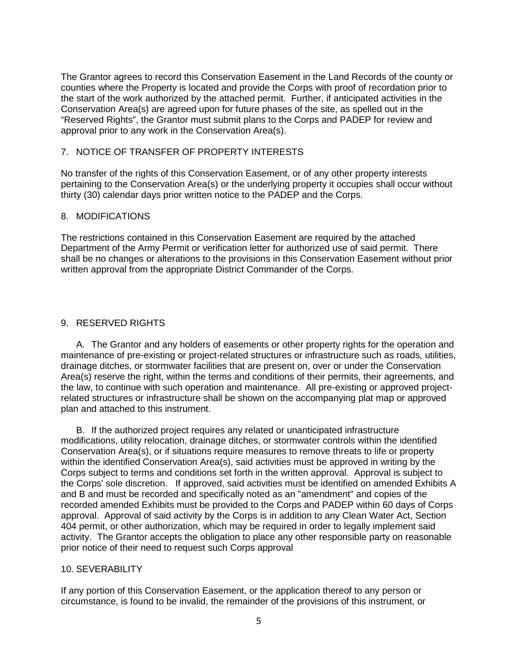The Grantor agrees to record this Conservation Easement in the Land Records of the county or counties where the Property is located and provide the Corps with proof of recordation prior to the start of the work authorized by the attached permit. Further, if anticipated activities in the Conservation Area(s) are agreed upon for future phases of the site, as spelled out in the "Reserved Rights", the Grantor must submit plans to the Corps and PADEP for review and approval prior to any work in the Conservation Area(s).

#### 7. NOTICE OF TRANSFER OF PROPERTY INTERESTS

No transfer of the rights of this Conservation Easement, or of any other property interests pertaining to the Conservation Area(s) or the underlying property it occupies shall occur without thirty (30) calendar days prior written notice to the PADEP and the Corps.

### 8. MODIFICATIONS

The restrictions contained in this Conservation Easement are required by the attached Department of the Army Permit or verification letter for authorized use of said permit. There shall be no changes or alterations to the provisions in this Conservation Easement without prior written approval from the appropriate District Commander of the Corps.

## 9. RESERVED RIGHTS

A. The Grantor and any holders of easements or other property rights for the operation and maintenance of pre-existing or project-related structures or infrastructure such as roads, utilities, drainage ditches, or stormwater facilities that are present on, over or under the Conservation Area(s) reserve the right, within the terms and conditions of their permits, their agreements, and the law, to continue with such operation and maintenance. All pre-existing or approved projectrelated structures or infrastructure shall be shown on the accompanying plat map or approved plan and attached to this instrument.

B. If the authorized project requires any related or unanticipated infrastructure modifications, utility relocation, drainage ditches, or stormwater controls within the identified Conservation Area(s), or if situations require measures to remove threats to life or property within the identified Conservation Area(s), said activities must be approved in writing by the Corps subject to terms and conditions set forth in the written approval. Approval is subject to the Corps' sole discretion. If approved, said activities must be identified on amended Exhibits A and B and must be recorded and specifically noted as an "amendment" and copies of the recorded amended Exhibits must be provided to the Corps and PADEP within 60 days of Corps approval. Approval of said activity by the Corps is in addition to any Clean Water Act, Section 404 permit, or other authorization, which may be required in order to legally implement said activity. The Grantor accepts the obligation to place any other responsible party on reasonable prior notice of their need to request such Corps approval

#### 10. SEVERABILITY

If any portion of this Conservation Easement, or the application thereof to any person or circumstance, is found to be invalid, the remainder of the provisions of this instrument, or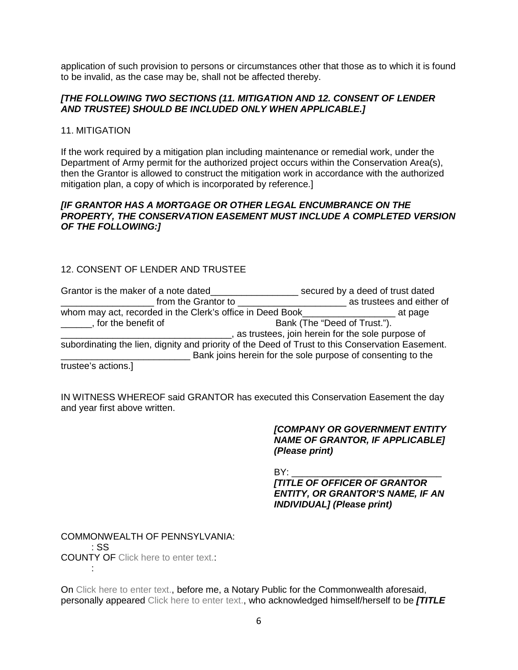application of such provision to persons or circumstances other that those as to which it is found to be invalid, as the case may be, shall not be affected thereby.

### *[THE FOLLOWING TWO SECTIONS (11. MITIGATION AND 12. CONSENT OF LENDER AND TRUSTEE) SHOULD BE INCLUDED ONLY WHEN APPLICABLE.]*

11. MITIGATION

If the work required by a mitigation plan including maintenance or remedial work, under the Department of Army permit for the authorized project occurs within the Conservation Area(s), then the Grantor is allowed to construct the mitigation work in accordance with the authorized mitigation plan, a copy of which is incorporated by reference.]

### *[IF GRANTOR HAS A MORTGAGE OR OTHER LEGAL ENCUMBRANCE ON THE PROPERTY, THE CONSERVATION EASEMENT MUST INCLUDE A COMPLETED VERSION OF THE FOLLOWING:]*

# 12. CONSENT OF LENDER AND TRUSTEE

| Grantor is the maker of a note dated                                                             | secured by a deed of trust dated                            |
|--------------------------------------------------------------------------------------------------|-------------------------------------------------------------|
| from the Grantor to                                                                              | as trustees and either of                                   |
| whom may act, recorded in the Clerk's office in Deed Book                                        | at page                                                     |
| , for the benefit of                                                                             | Bank (The "Deed of Trust.").                                |
|                                                                                                  | as trustees, join herein for the sole purpose of            |
| subordinating the lien, dignity and priority of the Deed of Trust to this Conservation Easement. |                                                             |
|                                                                                                  | Bank joins herein for the sole purpose of consenting to the |
| trustee's actions.]                                                                              |                                                             |

IN WITNESS WHEREOF said GRANTOR has executed this Conservation Easement the day and year first above written.

> *[COMPANY OR GOVERNMENT ENTITY NAME OF GRANTOR, IF APPLICABLE] (Please print)*

BY: \_\_\_\_\_\_\_\_\_\_\_\_\_\_\_\_\_\_\_\_\_\_\_\_\_\_\_\_\_ *[TITLE OF OFFICER OF GRANTOR ENTITY, OR GRANTOR'S NAME, IF AN INDIVIDUAL] (Please print)*

COMMONWEALTH OF PENNSYLVANIA: : SS COUNTY OF Click here to enter text.: :

On Click here to enter text., before me, a Notary Public for the Commonwealth aforesaid, personally appeared Click here to enter text., who acknowledged himself/herself to be *[TITLE*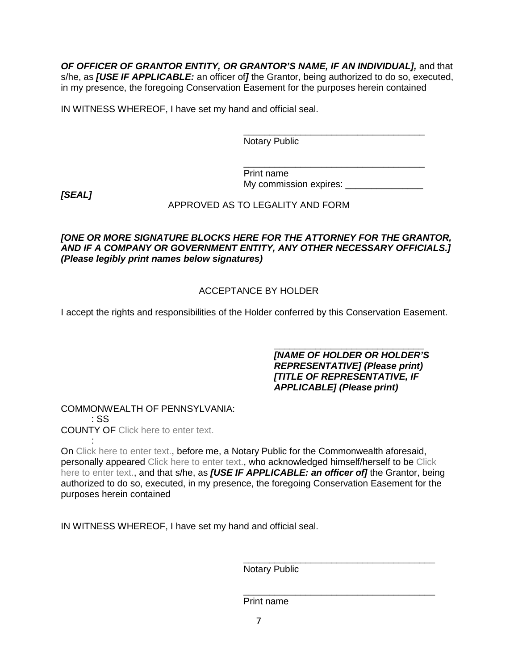*OF OFFICER OF GRANTOR ENTITY, OR GRANTOR'S NAME, IF AN INDIVIDUAL],* and that s/he, as *[USE IF APPLICABLE:* an officer of*]* the Grantor, being authorized to do so, executed, in my presence, the foregoing Conservation Easement for the purposes herein contained

IN WITNESS WHEREOF, I have set my hand and official seal.

\_\_\_\_\_\_\_\_\_\_\_\_\_\_\_\_\_\_\_\_\_\_\_\_\_\_\_\_\_\_\_\_\_\_\_ Notary Public

\_\_\_\_\_\_\_\_\_\_\_\_\_\_\_\_\_\_\_\_\_\_\_\_\_\_\_\_\_\_\_\_\_\_\_ Print name My commission expires: \_\_\_\_\_\_\_\_\_\_\_\_\_\_\_\_\_

*[SEAL]*

## APPROVED AS TO LEGALITY AND FORM

## *[ONE OR MORE SIGNATURE BLOCKS HERE FOR THE ATTORNEY FOR THE GRANTOR, AND IF A COMPANY OR GOVERNMENT ENTITY, ANY OTHER NECESSARY OFFICIALS.] (Please legibly print names below signatures)*

## ACCEPTANCE BY HOLDER

I accept the rights and responsibilities of the Holder conferred by this Conservation Easement.

\_\_\_\_\_\_\_\_\_\_\_\_\_\_\_\_\_\_\_\_\_\_\_\_\_\_\_\_\_ *[NAME OF HOLDER OR HOLDER'S REPRESENTATIVE] (Please print) [TITLE OF REPRESENTATIVE, IF APPLICABLE] (Please print)*

COMMONWEALTH OF PENNSYLVANIA: : SS COUNTY OF Click here to enter text.

: On Click here to enter text., before me, a Notary Public for the Commonwealth aforesaid, personally appeared Click here to enter text., who acknowledged himself/herself to be Click here to enter text., and that s/he, as *[USE IF APPLICABLE: an officer of]* the Grantor, being authorized to do so, executed, in my presence, the foregoing Conservation Easement for the purposes herein contained

IN WITNESS WHEREOF, I have set my hand and official seal.

\_\_\_\_\_\_\_\_\_\_\_\_\_\_\_\_\_\_\_\_\_\_\_\_\_\_\_\_\_\_\_\_\_\_\_\_\_ Notary Public

\_\_\_\_\_\_\_\_\_\_\_\_\_\_\_\_\_\_\_\_\_\_\_\_\_\_\_\_\_\_\_\_\_\_\_\_\_ Print name